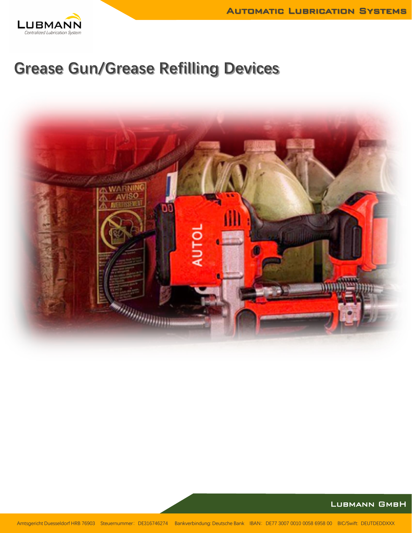

# **Grease Gun/Grease Refilling Devices**

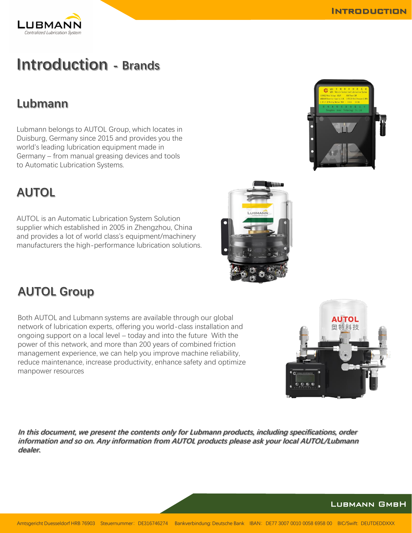## **Introduction - Brands**

### **Lubmann**

Lubmann belongs to AUTOL Group, which locates in Duisburg, Germany since 2015 and provides you the world's leading lubrication equipment made in Germany – from manual greasing devices and tools to Automatic Lubrication Systems.

### **AUTOL**

AUTOL is an Automatic Lubrication System Solution supplier which established in 2005 in Zhengzhou, China and provides a lot of world class's equipment/machinery manufacturers the high-performance lubrication solutions.

### **AUTOL Group**

Both AUTOL and Lubmann systems are available through our global network of lubrication experts, offering you world-class installation and ongoing support on a local level – today and into the future With the power of this network, and more than 200 years of combined friction management experience, we can help you improve machine reliability, reduce maintenance, increase productivity, enhance safety and optimize manpower resources

**In this document, we present the contents only for Lubmann products, including specifications, order information and so on. Any information from AUTOL products please ask your local AUTOL/Lubmann dealer.** 

Amtsgericht Duesseldorf HRB 76903 Steuernummer: DE316746274 Bankverbindung: Deutsche Bank IBAN: DE77 3007 0010 0058 6958 00 BIC/Swift: DEUTDEDDXXX









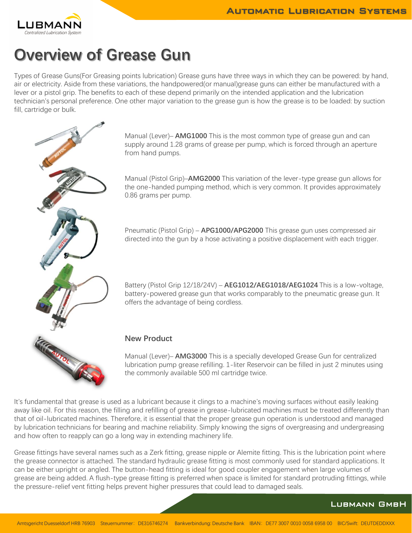

## **Overview of Grease Gun**

Types of Grease Guns(For Greasing points lubrication) Grease guns have three ways in which they can be powered: by hand, air or electricity. Aside from these variations, the handpowered(or manual)grease guns can either be manufactured with a lever or a pistol grip. The benefits to each of these depend primarily on the intended application and the lubrication technician's personal preference. One other major variation to the grease gun is how the grease is to be loaded: by suction fill, cartridge or bulk.



Manual (Lever)– **AMG1000** This is the most common type of grease gun and can supply around 1.28 grams of grease per pump, which is forced through an aperture from hand pumps.

Manual (Pistol Grip)–**AMG2000** This variation of the lever-type grease gun allows for the one-handed pumping method, which is very common. It provides approximately 0.86 grams per pump.

Pneumatic (Pistol Grip) – **APG1000/APG2000** This grease gun uses compressed air directed into the gun by a hose activating a positive displacement with each trigger.

Battery (Pistol Grip 12/18/24V) – **AEG1012/AEG1018/AEG1024** This is a low-voltage, battery-powered grease gun that works comparably to the pneumatic grease gun. It offers the advantage of being cordless.

#### **New Product**

Manual (Lever)– **AMG3000** This is a specially developed Grease Gun for centralized lubrication pump grease refilling. 1-liter Reservoir can be filled in just 2 minutes using the commonly available 500 ml cartridge twice.

It's fundamental that grease is used as a lubricant because it clings to a machine's moving surfaces without easily leaking away like oil. For this reason, the filling and refilling of grease in grease-lubricated machines must be treated differently than that of oil-lubricated machines. Therefore, it is essential that the proper grease gun operation is understood and managed by lubrication technicians for bearing and machine reliability. Simply knowing the signs of overgreasing and undergreasing and how often to reapply can go a long way in extending machinery life.

Grease fittings have several names such as a Zerk fitting, grease nipple or Alemite fitting. This is the lubrication point where the grease connector is attached. The standard hydraulic grease fitting is most commonly used for standard applications. It can be either upright or angled. The button-head fitting is ideal for good coupler engagement when large volumes of grease are being added. A flush-type grease fitting is preferred when space is limited for standard protruding fittings, while the pressure-relief vent fitting helps prevent higher pressures that could lead to damaged seals.

Lubmann GmbH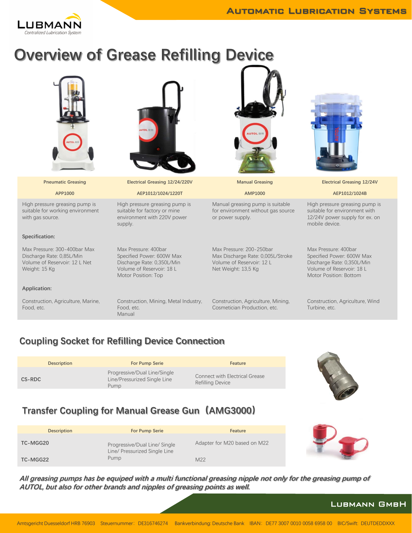

# **Overview of Grease Refilling Device**

|                                                                                                             | <b>JTOL 田制</b>                                                                                                                      |                                                                                                                   |                                                                                                                                        |
|-------------------------------------------------------------------------------------------------------------|-------------------------------------------------------------------------------------------------------------------------------------|-------------------------------------------------------------------------------------------------------------------|----------------------------------------------------------------------------------------------------------------------------------------|
| <b>Pneumatic Greasing</b>                                                                                   | Electrical Greasing 12/24/220V                                                                                                      | <b>Manual Greasing</b>                                                                                            | <b>Electrical Greasing 12/24V</b>                                                                                                      |
| APP1000                                                                                                     | AEP1012/1024/1220T                                                                                                                  | AMP1000                                                                                                           | AEP1012/1024B                                                                                                                          |
| High pressure greasing pump is<br>suitable for working environment<br>with gas source.                      | High pressure greasing pump is<br>suitable for factory or mine<br>environment with 220V power<br>supply.                            | Manual greasing pump is suitable<br>for environment without gas source<br>or power supply.                        | High pressure greasing pump is<br>suitable for environment with<br>12/24V power supply for ex. on<br>mobile device.                    |
| Specification:                                                                                              |                                                                                                                                     |                                                                                                                   |                                                                                                                                        |
| Max Pressure: 300-400bar Max<br>Discharge Rate: 0,85L/Min<br>Volume of Reservoir: 12 L Net<br>Weight: 15 Kg | Max Pressure: 400bar<br>Specified Power: 600W Max<br>Discharge Rate: 0,350L/Min<br>Volume of Reservoir: 18 L<br>Motor Position: Top | Max Pressure: 200-250bar<br>Max Discharge Rate: 0,005L/Stroke<br>Volume of Reservoir: 12 L<br>Net Weight: 13,5 Kg | Max Pressure: 400bar<br>Specified Power: 600W Max<br>Discharge Rate: 0,350L/Min<br>Volume of Reservoir: 18 L<br>Motor Position: Bottom |
| Application:                                                                                                |                                                                                                                                     |                                                                                                                   |                                                                                                                                        |
| Construction, Agriculture, Marine,<br>Food, etc.                                                            | Construction, Mining, Metal Industry,<br>Food, etc.<br>Manual                                                                       | Construction, Agriculture, Mining,<br>Cosmetician Production, etc.                                                | Construction, Agriculture, Wind<br>Turbine, etc.                                                                                       |

#### **Coupling Socket for Refilling Device Connection**

|        | <b>Description</b> | <b>For Pump Serie</b>                                                | <b>Feature</b>                                                   |
|--------|--------------------|----------------------------------------------------------------------|------------------------------------------------------------------|
| CS-RDC |                    | Progressive/Dual Line/Single<br>Line/Pressurized Single Line<br>Pump | <b>Connect with Electrical Grease</b><br><b>Refilling Device</b> |



### **Transfer Coupling for Manual Grease Gun(AMG3000)**

| <b>Description</b> | <b>For Pump Serie</b>                                          | Feature                      |  |
|--------------------|----------------------------------------------------------------|------------------------------|--|
| TC-MGG20           | Progressive/Dual Line/ Single<br>Line/ Pressurized Single Line | Adapter for M20 based on M22 |  |
| TC-MGG22           | Pump                                                           | M22                          |  |

**All greasing pumps has be equiped with a multi functional greasing nipple not only for the greasing pump of AUTOL, but also for other brands and nipples of greasing points as well.**

#### Lubmann GmbH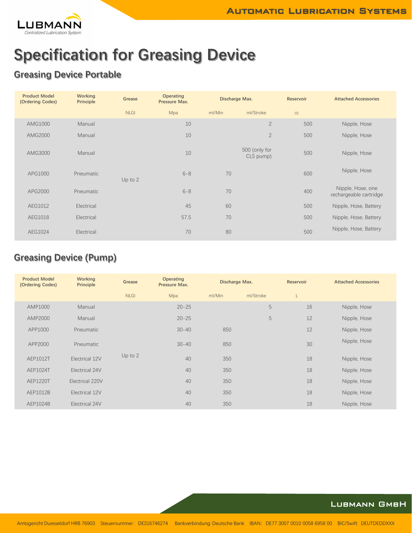

## **Specification for Greasing Device**

### **Greasing Device Portable**

| <b>Product Model</b><br>(Ordering Codes) | <b>Working</b><br><b>Principle</b> | Grease      | <b>Operating</b><br>Pressure Max. | Discharge Max. |                            | Reservoir | <b>Attached Accessories</b>                 |
|------------------------------------------|------------------------------------|-------------|-----------------------------------|----------------|----------------------------|-----------|---------------------------------------------|
|                                          |                                    | <b>NLGI</b> | Mpa                               | ml/Min         | ml/Stroke                  | cc        |                                             |
| AMG1000                                  | Manual                             |             | 10                                |                | $\overline{2}$             | 500       | Nipple, Hose                                |
| AMG2000                                  | Manual                             |             | 10                                |                | $\overline{2}$             | 500       | Nipple, Hose                                |
| AMG3000                                  | Manual                             |             | 10                                |                | 500 (only for<br>CLS pump) | 500       | Nipple, Hose                                |
| APG1000                                  | Pneumatic                          | Up to $2$   | $6 - 8$                           | 70             |                            | 600       | Nipple, Hose                                |
| APG2000                                  | Pneumatic                          |             | $6 - 8$                           | 70             |                            | 400       | Nipple, Hose, one<br>rechargeable cartridge |
| AEG1012                                  | Electrical                         |             | 45                                | 60             |                            | 500       | Nipple, Hose, Battery                       |
| AEG1018                                  | Electrical                         |             | 57.5                              | 70             |                            | 500       | Nipple, Hose, Battery                       |
| AEG1024                                  | Electrical                         |             | 70                                | 80             |                            | 500       | Nipple, Hose, Battery                       |

### **Greasing Device (Pump)**

| <b>Product Model</b><br>(Ordering Codes) | <b>Working</b><br>Principle | Grease      | <b>Operating</b><br>Pressure Max. | Discharge Max. |           | Reservoir | <b>Attached Accessories</b> |
|------------------------------------------|-----------------------------|-------------|-----------------------------------|----------------|-----------|-----------|-----------------------------|
|                                          |                             | <b>NLGI</b> | Mpa                               | ml/Min         | ml/Stroke | L         |                             |
| AMP1000                                  | Manual                      |             | $20 - 25$                         |                | 5         | 16        | Nipple, Hose                |
| AMP2000                                  | Manual                      |             | $20 - 25$                         |                | 5         | 12        | Nipple, Hose                |
| APP1000                                  | Pneumatic                   |             | $30 - 40$                         | 850            |           | 12        | Nipple, Hose                |
| APP2000                                  | Pneumatic                   |             | $30 - 40$                         | 850            |           | 30        | Nipple, Hose                |
| AEP1012T                                 | Electrical 12V              | Up to $2$   | 40                                | 350            |           | 18        | Nipple, Hose                |
| AEP1024T                                 | Electrical 24V              |             | 40                                | 350            |           | 18        | Nipple, Hose                |
| AEP1220T                                 | Electrical 220V             |             | 40                                | 350            |           | 18        | Nipple, Hose                |
| AEP1012B                                 | Electrical 12V              |             | 40                                | 350            |           | 18        | Nipple, Hose                |
| AEP1024B                                 | Electrical 24V              |             | 40                                | 350            |           | 18        | Nipple, Hose                |

#### Lubmann GmbH